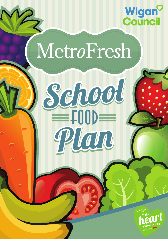

# MetroFresh

School

Plan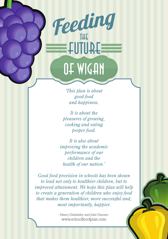# **ELUTURE** OE WIGAN

Feeding

*'This plan is about good food and happiness.*

*It is about the pleasures of growing, cooking and eating proper food.*

*It is also about improving the academic performance of our children and the health of our nation.'*

*Good food provision in schools has been shown to lead not only to healthier children, but to improved attainment. We hope this plan will help to create a generation of children who enjoy food that makes them healthier, more successful and, most importantly, happier.*

> - Henry Dimbleby and John Vincent www.schoolfoodplan.com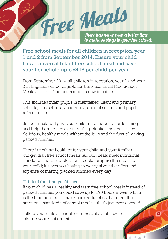

Free school meals for all children in reception, year 1 and 2 from September 2014. Ensure your child has a Universal Infant free school meal and save your household upto £418 per child per year.

From September 2014, all children in reception, year 1 and year 2 in England will be eligible for Universal Infant Free School Meals as part of the governments new initiative.

This includes infant pupils in maintained infant and primary schools, free schools, academies, special schools and pupil referral units.

School meals will give your child a real appetite for learning and help them to achieve their full potential. they can enjoy delicious, healthy meals without the bills and the fuss of making packed lunches.

There is nothing healthier for your child and your family's budget than free school meals. All our meals meet nutritional standards and our professional cooks prepare the meals for your child; it saves you having to worry about the effort and expense of making packed lunches every day.

#### Think of the time you'd save

If your child has a healthy and tasty free school meals instead of packed lunches, you could save up to 190 hours a year, which is the time needed to make packed lunches that meet the nutritional standards of school meals – that's just over a week!

Talk to your child's school for more details of how to take up your entitlement.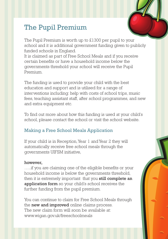# The Pupil Premium

The Pupil Premium is worth up to £1300 per pupil to your school and it is additional government funding given to publicly funded schools in England.

It is claimed as part of Free School Meals and if you receive certain benefits or have a household income below the governments threshold your school will receive the Pupil Premium.

The funding is used to provide your child with the best education and support and is utilised for a range of interventions including: help with costs of school trips, music fees, teaching assistant staff, after school programmes, and new and extra equipment etc.

To find out more about how this funding is used at your child's school, please contact the school or visit the school website.

## Making a Free School Meals Application

If your child is in Reception, Year 1 and Year 2 they will automatically receive free school meals through the governments UIFSM initiative,

#### however,

…..if you are claiming one of the eligible benefits or your household income is below the governments threshold, then it is extremely important that you still complete an application form so your child's school receives the further funding from the pupil premium.

You can continue to claim for Free School Meals through the **new and improved** online claims process. The new claim form will soon be available at: www.wigan.gov.uk/freeschoolmeals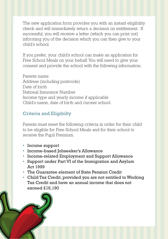The new application form provides you with an instant eligibility check and will immediately return a decision on entitlement. If successful, you will receive a letter (which you can print out) informing you of the decision which you can then give to your child's school.

If you prefer, your child's school can make an application for Free School Meals on your behalf. You will need to give your consent and provide the school with the following information;

Parents name Address (including postcode) Date of birth National Insurance Number Income type and yearly income if applicable Child's name, date of birth and current school

### Criteria and Eligibilty

Parents must meet the following criteria in order for their child to be eligible for Free School Meals and for their school to receive the Pupil Premium.

- Income support
- Income-based Jobseeker's Allowance
- Income-related Employment and Support Allowance
- Support under Part VI of the Immigration and Asylum Act 1999
- The Guarantee element of State Pension Credit
- Child Tax Credit, provided you are not entitled to Working Tax Credit and have an annual income that does not exceed £16,190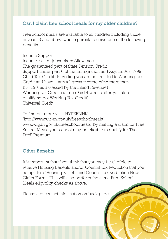#### Can I claim free school meals for my older children?

Free school meals are available to all children including those in years 3 and above whose parents receive one of the following benefits –

Income Support Income-based Jobseekers Allowance The guaranteed part of State Pension Credit Support under part 6 of the Immigration and Asylum Act 1999 Child Tax Credit (Providing you are not entitled to Working Tax Credit and have a annual gross income of no more than £16,190, as assessed by the Inland Revenue) Working Tax Credit run-on (Paid 4 weeks after you stop qualifying got Working Tax Credit) Universal Credit

To find out more visit HYPERLINK "http://www.wigan.gov.uk/freeschoolmeals" www.wigan.gov.uk/freeschoolmeals by making a claim for Free School Meals your school may be eligible to qualify for The Pupil Premium.

#### Other Benefits

It is important that if you think that you may be eligible to receive Housing Benefits and/or Council Tax Reduction that you complete a 'Housing Benefit and Council Tax Reduction New Claim Form'. This will also perform the same Free School Meals eligibility checks as above.

Please see contact information on back page.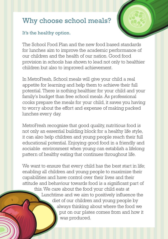# Why choose school meals?

#### It's the healthy option.

The School Food Plan and the new food based standards for lunches aim to improve the academic performance of our children and the health of our nation. Good food provision in schools has shown to lead not only to healthier children but also to improved achievement.

In MetroFresh, School meals will give your child a real appetite for learning and help them to achieve their full potential. There is nothing healthier for your child and your family's budget than free school meals. As professional cooks prepare the meals for your child, it saves you having to worry about the effort and expense of making packed lunches every day.

MetroFresh recognise that good quality, nutritious food is not only an essential building block for a healthy life style, it can also help children and young people reach their full educational potential. Enjoying good food in a friendly and sociable environment when young can establish a lifelong pattern of healthy eating that continues throughout life.

We want to ensure that every child has the best start in life; enabling all children and young people to maximize their capabilities and have control over their lives and their attitude and behaviour towards food is a significant part of this. We care about the food your child eats at Lunchtime and we aim to positively influence the diet of our children and young people by always thinking about where the food we put on our plates comes from and how it was produced.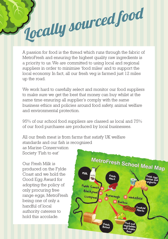# Jocally sourced food

A passion for food is the thread which runs through the fabric of MetroFresh and ensuring the highest quality raw ingredients is a priority to us. We are committed to using local and regional suppliers in order to minimise 'food miles' and to support the local economy. In fact, all our fresh veg is farmed just 12 miles up the road.

We work hard to carefully select and monitor our food suppliers to make sure we get the best that money can buy whilst at the same time ensuring all supplier's comply with the same business ethics and policies around food safety, animal welfare and environmental protection.

95% of our school food suppliers are classed as local and 75% of our food purchases are produced by local businesses.

All our fresh meat is from farms that satisfy UK welfare standards and our fish is recognised

as Marine Conservation Society 'Fish to eat'

Our Fresh Milk is produced on the Fylde Coast and we hold the Good Egg Award for adopting the policy of only procuring free range eggs, MetroFresh being one of only a handful of local authority caterers to hold this accolade.

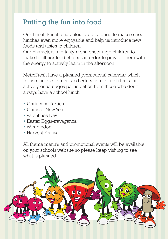# Putting the fun into food

Our Lunch Bunch characters are designed to make school lunches even more enjoyable and help us introduce new foods and tastes to children.

Our characters and tasty menu encourage children to make healthier food choices in order to provide them with the energy to actively learn in the afternoon.

MetroFresh have a planned promotional calendar which brings fun, excitement and education to lunch times and actively encourages participation from those who don't always have a school lunch.

- Christmas Parties
- Chinese New Year
- Valentines Day
- Easter Eggs-travaganza
- Wimbledon
- Harvest Festival

All theme menu's and promotional events will be available on your schools website so please keep visiting to see what is planned.

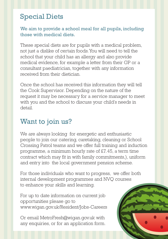# Special Diets

#### We aim to provide a school meal for all pupils, including those with medical diets.

These special diets are for pupils with a medical problem, not just a dislike of certain foods. You will need to tell the school that your child has an allergy and also provide medical evidence, for example a letter from their GP or a consultant paediatrician, together with any information received from their dietician.

Once the school has received this information they will tell the Cook Supervisor. Depending on the nature of the request it may be necessary for a service manager to meet with you and the school to discuss your child's needs in detail.

# Want to join us?

We are always looking for energetic and enthusiastic people to join our catering, caretaking, cleaning or School Crossing Patrol teams and we offer full training and induction programme, a minimum hourly rate of £7.45, a term time contract which may fit in with family commitments,), uniform and entry into the local government pension scheme.

For those individuals who want to progress, we offer both internal development programmes and NVQ courses to enhance your skills and learning.

For up to date information on current job opportunities please go to www.wigan.gov.uk/Resident/Jobs-Careers

Or email MetroFresh@wigan.gov.uk with any enquiries, or for an application form.